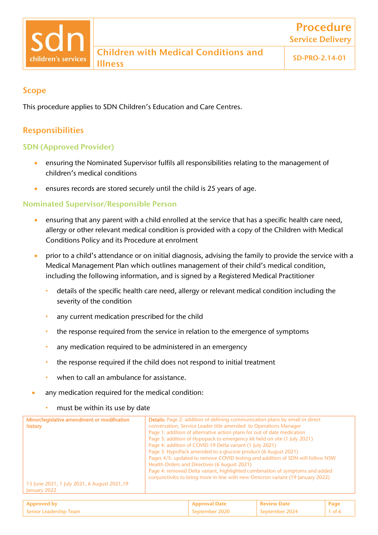Procedure

## Scope

This procedure applies to SDN Children's Education and Care Centres.

# Responsibilities

### SDN (Approved Provider)

- ensuring the Nominated Supervisor fulfils all responsibilities relating to the management of children's medical conditions
- ensures records are stored securely until the child is 25 years of age.

### Nominated Supervisor/Responsible Person

- ensuring that any parent with a child enrolled at the service that has a specific health care need, allergy or other relevant medical condition is provided with a copy of the Children with Medical Conditions Policy and its Procedure at enrolment
- prior to a child's attendance or on initial diagnosis, advising the family to provide the service with a Medical Management Plan which outlines management of their child's medical condition, including the following information, and is signed by a Registered Medical Practitioner
	- details of the specific health care need, allergy or relevant medical condition including the severity of the condition
	- any current medication prescribed for the child
	- the response required from the service in relation to the emergence of symptoms
	- any medication required to be administered in an emergency
	- the response required if the child does not respond to initial treatment
	- when to call an ambulance for assistance.
- any medication required for the medical condition:
	- must be within its use by date

| Minor/legislative amendment or modification  | <b>Details:</b> Page 2: addition of defining communication plans by email or direct |
|----------------------------------------------|-------------------------------------------------------------------------------------|
| history                                      | conversation, Service Leader title amended to Operations Manager                    |
|                                              | Page 1: addition of alternative action plans for out of date medication             |
|                                              | Page 3: addition of Hypopack to emergency kit held on site (1 July 2021)            |
|                                              | Page 4: addition of COVID-19 Delta variant (1 July 2021)                            |
|                                              | Page 3: HypoPack amended to a glucose product (6 August 2021)                       |
|                                              | Pages 4/5: updated to remove COVID testing and addition of SDN will follow NSW      |
|                                              | Health Orders and Directives (6 August 2021)                                        |
|                                              | Page 4: removed Delta variant, highlighted combination of symptoms and added        |
|                                              | conjunctivitis to bring more in line with new Omicron variant (19 January 2022)     |
| 15 June 2021, 1 July 2021, 6 August 2021, 19 |                                                                                     |
| January 2022                                 |                                                                                     |

| <b>Anderchir</b><br>eam<br>.enior |  |  |
|-----------------------------------|--|--|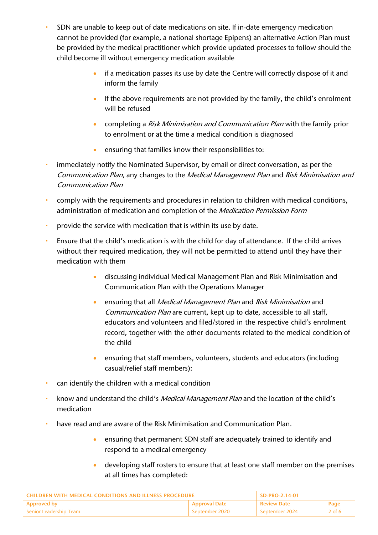- SDN are unable to keep out of date medications on site. If in-date emergency medication cannot be provided (for example, a national shortage Epipens) an alternative Action Plan must be provided by the medical practitioner which provide updated processes to follow should the child become ill without emergency medication available
	- if a medication passes its use by date the Centre will correctly dispose of it and inform the family
	- If the above requirements are not provided by the family, the child's enrolment will be refused
	- completing a Risk Minimisation and Communication Plan with the family prior to enrolment or at the time a medical condition is diagnosed
	- ensuring that families know their responsibilities to:
- immediately notify the Nominated Supervisor, by email or direct conversation, as per the Communication Plan, any changes to the Medical Management Plan and Risk Minimisation and Communication Plan
- comply with the requirements and procedures in relation to children with medical conditions, administration of medication and completion of the Medication Permission Form
- **provide the service with medication that is within its use by date.**
- Ensure that the child's medication is with the child for day of attendance. If the child arrives without their required medication, they will not be permitted to attend until they have their medication with them
	- discussing individual Medical Management Plan and Risk Minimisation and Communication Plan with the Operations Manager
	- ensuring that all *Medical Management Plan* and *Risk Minimisation* and Communication Plan are current, kept up to date, accessible to all staff, educators and volunteers and filed/stored in the respective child's enrolment record, together with the other documents related to the medical condition of the child
	- ensuring that staff members, volunteers, students and educators (including casual/relief staff members):
- can identify the children with a medical condition
- know and understand the child's *Medical Management Plan* and the location of the child's medication
- have read and are aware of the Risk Minimisation and Communication Plan.
	- ensuring that permanent SDN staff are adequately trained to identify and respond to a medical emergency
	- developing staff rosters to ensure that at least one staff member on the premises at all times has completed:

| <b>CHILDREN WITH MEDICAL CONDITIONS AND ILLNESS PROCEDURE</b> |                      | SD-PRO-2.14-01 |          |
|---------------------------------------------------------------|----------------------|----------------|----------|
| <b>Approved by</b>                                            | <b>Approval Date</b> | . Review Date  | Page     |
| <b>Senior Leadership Team</b>                                 | -September 2020      | September 2024 | 2 of $6$ |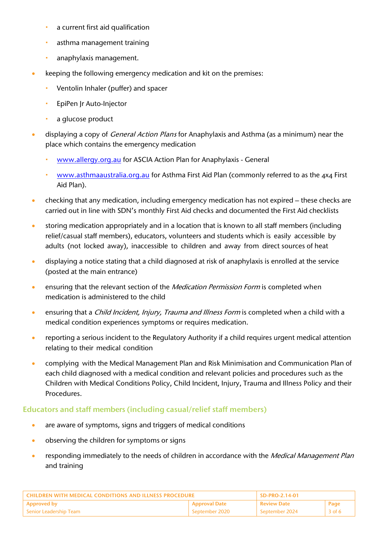- a current first aid qualification
- **•** asthma management training
- **anaphylaxis management.**
- keeping the following emergency medication and kit on the premises:
	- Ventolin Inhaler (puffer) and spacer
	- EpiPen Jr Auto-Injector
	- **a** glucose product
- displaying a copy of *General Action Plans* for Anaphylaxis and Asthma (as a minimum) near the place which contains the emergency medication
	- [www.allergy.org.au](http://www.allergy.org.au/) for ASCIA Action Plan for Anaphylaxis General
	- [www.asthmaaustralia.org.au](http://www.asthmaaustralia.org.au/) for Asthma First Aid Plan (commonly referred to as the 4x4 First Aid Plan).
- checking that any medication, including emergency medication has not expired these checks are carried out in line with SDN's monthly First Aid checks and documented the First Aid checklists
- storing medication appropriately and in a location that is known to all staff members (including relief/casual staff members), educators, volunteers and students which is easily accessible by adults (not locked away), inaccessible to children and away from direct sources of heat
- displaying a notice stating that a child diagnosed at risk of anaphylaxis is enrolled at the service (posted at the main entrance)
- ensuring that the relevant section of the *Medication Permission Form* is completed when medication is administered to the child
- ensuring that a *Child Incident, Injury, Trauma and Illness Form* is completed when a child with a medical condition experiences symptoms or requires medication.
- reporting a serious incident to the Regulatory Authority if a child requires urgent medical attention relating to their medical condition
- complying with the Medical Management Plan and Risk Minimisation and Communication Plan of each child diagnosed with a medical condition and relevant policies and procedures such as the Children with Medical Conditions Policy, Child Incident, Injury, Trauma and Illness Policy and their Procedures.

#### Educators and staff members (including casual/relief staff members)

- are aware of symptoms, signs and triggers of medical conditions
- observing the children for symptoms or signs
- responding immediately to the needs of children in accordance with the *Medical Management Plan* and training

| <b>CHILDREN WITH MEDICAL CONDITIONS AND ILLNESS PROCEDURE</b> |                      | $SD-PRO-2.14-01$ |        |
|---------------------------------------------------------------|----------------------|------------------|--------|
| <b>Approved by</b>                                            | <b>Approval Date</b> | ' Review Date    | Page   |
| Senior Leadership Team                                        | September 2020       | September 2024   | 3 of 6 |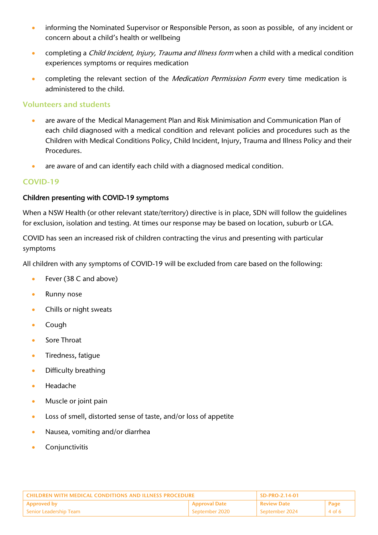- informing the Nominated Supervisor or Responsible Person, as soon as possible, of any incident or concern about a child's health or wellbeing
- completing a Child Incident, Injury, Trauma and Illness form when a child with a medical condition experiences symptoms or requires medication
- completing the relevant section of the *Medication Permission Form* every time medication is administered to the child.

#### Volunteers and students

- are aware of the Medical Management Plan and Risk Minimisation and Communication Plan of each child diagnosed with a medical condition and relevant policies and procedures such as the Children with Medical Conditions Policy, Child Incident, Injury, Trauma and Illness Policy and their Procedures.
- are aware of and can identify each child with a diagnosed medical condition.

#### COVID-19

#### Children presenting with COVID-19 symptoms

When a NSW Health (or other relevant state/territory) directive is in place, SDN will follow the guidelines for exclusion, isolation and testing. At times our response may be based on location, suburb or LGA.

COVID has seen an increased risk of children contracting the virus and presenting with particular symptoms

All children with any symptoms of COVID-19 will be excluded from care based on the following:

- Fever (38 C and above)
- Runny nose
- Chills or night sweats
- Cough
- Sore Throat
- Tiredness, fatigue
- Difficulty breathing
- Headache
- Muscle or joint pain
- Loss of smell, distorted sense of taste, and/or loss of appetite
- Nausea, vomiting and/or diarrhea
- **Conjunctivitis**

| <b>CHILDREN WITH MEDICAL CONDITIONS AND ILLNESS PROCEDURE</b> |                      | SD-PRO-2.14-01 |        |
|---------------------------------------------------------------|----------------------|----------------|--------|
| <b>Approved by</b>                                            | <b>Approval Date</b> | l Review Date  | Page   |
| Senior Leadership Team                                        | September 2020       | September 2024 | 4 of 6 |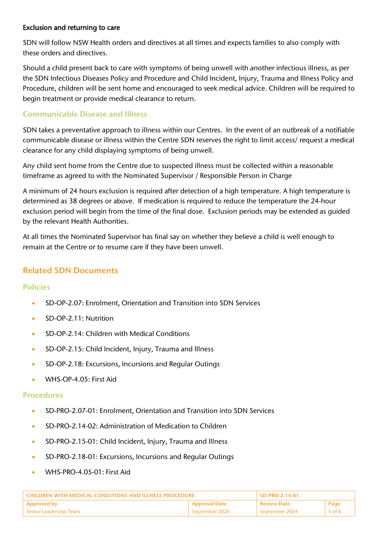#### Exclusion and returning to care

SDN will follow NSW Health orders and directives at all times and expects families to also comply with these orders and directives.

Should a child present back to care with symptoms of being unwell with another infectious illness, as per the SDN Infectious Diseases Policy and Procedure and Child Incident, Injury, Trauma and Illness Policy and Procedure, children will be sent home and encouraged to seek medical advice. Children will be required to begin treatment or provide medical clearance to return.

#### Communicable Disease and Illness

SDN takes a preventative approach to illness within our Centres. In the event of an outbreak of a notifiable communicable disease or illness within the Centre SDN reserves the right to limit access/ request a medical clearance for any child displaying symptoms of being unwell.

Any child sent home from the Centre due to suspected illness must be collected within a reasonable timeframe as agreed to with the Nominated Supervisor / Responsible Person in Charge

A minimum of 24 hours exclusion is required after detection of a high temperature. A high temperature is determined as 38 degrees or above. If medication is required to reduce the temperature the 24-hour exclusion period will begin from the time of the final dose. Exclusion periods may be extended as guided by the relevant Health Authorities.

At all times the Nominated Supervisor has final say on whether they believe a child is well enough to remain at the Centre or to resume care if they have been unwell.

## Related SDN Documents

#### Policies

- SD-OP-2.07: Enrolment, Orientation and Transition into SDN Services
- SD-OP-2.11: Nutrition
- SD-OP-2.14: Children with Medical Conditions
- SD-OP-2.15: Child Incident, Injury, Trauma and Illness
- SD-OP-2.18: Excursions, Incursions and Regular Outings
- WHS-OP-4.05: First Aid

#### **Procedures**

- SD-PRO-2.07-01: Enrolment, Orientation and Transition into SDN Services
- SD-PRO-2.14-02: Administration of Medication to Children
- SD-PRO-2.15-01: Child Incident, Injury, Trauma and Illness
- SD-PRO-2.18-01: Excursions, Incursions and Regular Outings
- WHS-PRO-4.05-01: First Aid

| <b>CHILDREN WITH MEDICAL CONDITIONS AND ILLNESS PROCEDURE</b> |                      | SD-PRO-2.14-01     |         |
|---------------------------------------------------------------|----------------------|--------------------|---------|
| <b>Approved by</b>                                            | <b>Approval Date</b> | <b>Review Date</b> | Page    |
| Senior Leadership Team                                        | September 2020       | September 2024     | .5 of 6 |